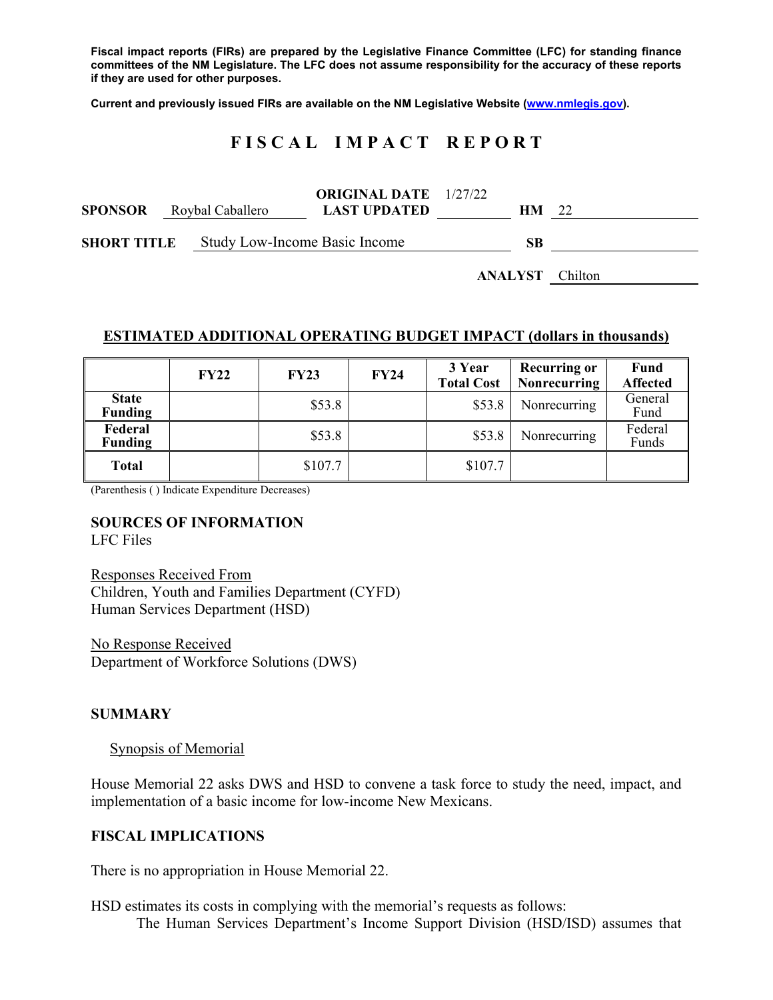**Fiscal impact reports (FIRs) are prepared by the Legislative Finance Committee (LFC) for standing finance committees of the NM Legislature. The LFC does not assume responsibility for the accuracy of these reports if they are used for other purposes.** 

**Current and previously issued FIRs are available on the NM Legislative Website (www.nmlegis.gov).** 

# **F I S C A L I M P A C T R E P O R T**

| <b>SPONSOR</b> Roybal Caballero |  |                                      | <b>ORIGINAL DATE</b> 1/27/22<br><b>LAST UPDATED</b> |  | HМ | - 22 |
|---------------------------------|--|--------------------------------------|-----------------------------------------------------|--|----|------|
| <b>SHORT TITLE</b>              |  | <b>Study Low-Income Basic Income</b> |                                                     |  |    |      |

**ANALYST** Chilton

#### **ESTIMATED ADDITIONAL OPERATING BUDGET IMPACT (dollars in thousands)**

|                                | <b>FY22</b> | <b>FY23</b> | FY24 | 3 Year<br><b>Total Cost</b> | <b>Recurring or</b><br><b>Nonrecurring</b> | Fund<br><b>Affected</b> |
|--------------------------------|-------------|-------------|------|-----------------------------|--------------------------------------------|-------------------------|
| <b>State</b><br><b>Funding</b> |             | \$53.8      |      | \$53.8                      | Nonrecurring                               | General<br>Fund         |
| Federal<br><b>Funding</b>      |             | \$53.8      |      | \$53.8                      | Nonrecurring                               | Federal<br>Funds        |
| <b>Total</b>                   |             | \$107.7     |      | \$107.7                     |                                            |                         |

(Parenthesis ( ) Indicate Expenditure Decreases)

#### **SOURCES OF INFORMATION**

LFC Files

Responses Received From Children, Youth and Families Department (CYFD) Human Services Department (HSD)

No Response Received Department of Workforce Solutions (DWS)

#### **SUMMARY**

Synopsis of Memorial

House Memorial 22 asks DWS and HSD to convene a task force to study the need, impact, and implementation of a basic income for low-income New Mexicans.

#### **FISCAL IMPLICATIONS**

There is no appropriation in House Memorial 22.

HSD estimates its costs in complying with the memorial's requests as follows: The Human Services Department's Income Support Division (HSD/ISD) assumes that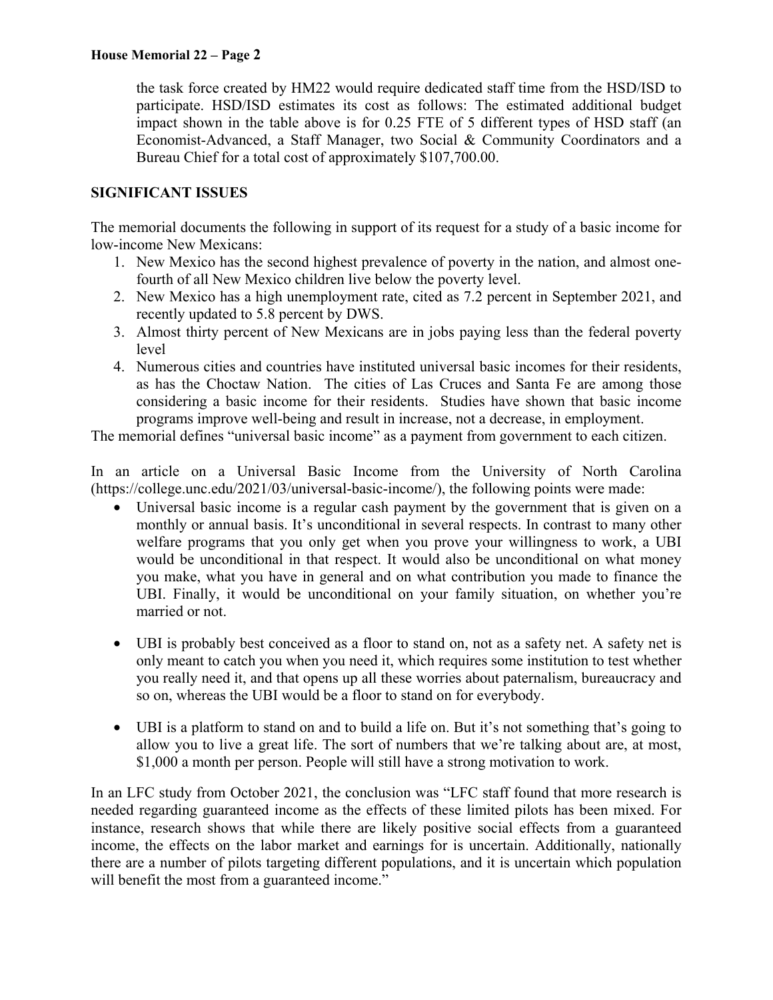### **House Memorial 22 – Page 2**

the task force created by HM22 would require dedicated staff time from the HSD/ISD to participate. HSD/ISD estimates its cost as follows: The estimated additional budget impact shown in the table above is for 0.25 FTE of 5 different types of HSD staff (an Economist-Advanced, a Staff Manager, two Social & Community Coordinators and a Bureau Chief for a total cost of approximately \$107,700.00.

## **SIGNIFICANT ISSUES**

The memorial documents the following in support of its request for a study of a basic income for low-income New Mexicans:

- 1. New Mexico has the second highest prevalence of poverty in the nation, and almost onefourth of all New Mexico children live below the poverty level.
- 2. New Mexico has a high unemployment rate, cited as 7.2 percent in September 2021, and recently updated to 5.8 percent by DWS.
- 3. Almost thirty percent of New Mexicans are in jobs paying less than the federal poverty level
- 4. Numerous cities and countries have instituted universal basic incomes for their residents, as has the Choctaw Nation. The cities of Las Cruces and Santa Fe are among those considering a basic income for their residents. Studies have shown that basic income programs improve well-being and result in increase, not a decrease, in employment.

The memorial defines "universal basic income" as a payment from government to each citizen.

In an article on a Universal Basic Income from the University of North Carolina (https://college.unc.edu/2021/03/universal-basic-income/), the following points were made:

- Universal basic income is a regular cash payment by the government that is given on a monthly or annual basis. It's unconditional in several respects. In contrast to many other welfare programs that you only get when you prove your willingness to work, a UBI would be unconditional in that respect. It would also be unconditional on what money you make, what you have in general and on what contribution you made to finance the UBI. Finally, it would be unconditional on your family situation, on whether you're married or not.
- UBI is probably best conceived as a floor to stand on, not as a safety net. A safety net is only meant to catch you when you need it, which requires some institution to test whether you really need it, and that opens up all these worries about paternalism, bureaucracy and so on, whereas the UBI would be a floor to stand on for everybody.
- UBI is a platform to stand on and to build a life on. But it's not something that's going to allow you to live a great life. The sort of numbers that we're talking about are, at most, \$1,000 a month per person. People will still have a strong motivation to work.

In an LFC study from October 2021, the conclusion was "LFC staff found that more research is needed regarding guaranteed income as the effects of these limited pilots has been mixed. For instance, research shows that while there are likely positive social effects from a guaranteed income, the effects on the labor market and earnings for is uncertain. Additionally, nationally there are a number of pilots targeting different populations, and it is uncertain which population will benefit the most from a guaranteed income."